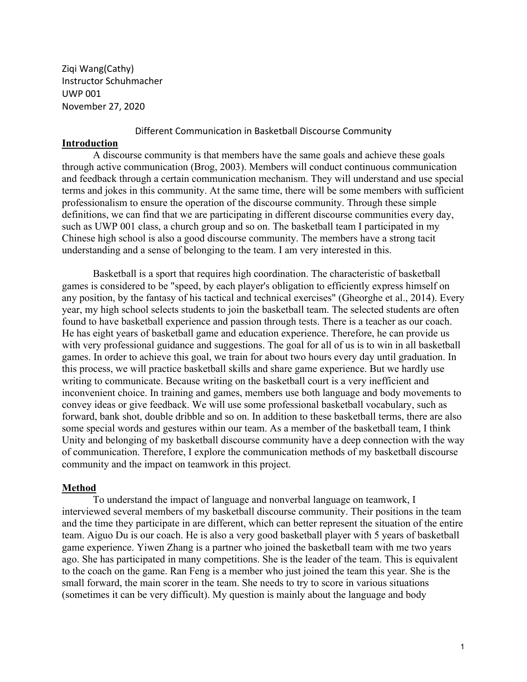Ziqi Wang(Cathy) Instructor Schuhmacher UWP 001 November 27, 2020

#### Different Communication in Basketball Discourse Community

#### **Introduction**

A discourse community is that members have the same goals and achieve these goals through active communication (Brog, 2003). Members will conduct continuous communication and feedback through a certain communication mechanism. They will understand and use special terms and jokes in this community. At the same time, there will be some members with sufficient professionalism to ensure the operation of the discourse community. Through these simple definitions, we can find that we are participating in different discourse communities every day, such as UWP 001 class, a church group and so on. The basketball team I participated in my Chinese high school is also a good discourse community. The members have a strong tacit understanding and a sense of belonging to the team. I am very interested in this.

Basketball is a sport that requires high coordination. The characteristic of basketball games is considered to be "speed, by each player's obligation to efficiently express himself on any position, by the fantasy of his tactical and technical exercises" (Gheorghe et al., 2014). Every year, my high school selects students to join the basketball team. The selected students are often found to have basketball experience and passion through tests. There is a teacher as our coach. He has eight years of basketball game and education experience. Therefore, he can provide us with very professional guidance and suggestions. The goal for all of us is to win in all basketball games. In order to achieve this goal, we train for about two hours every day until graduation. In this process, we will practice basketball skills and share game experience. But we hardly use writing to communicate. Because writing on the basketball court is a very inefficient and inconvenient choice. In training and games, members use both language and body movements to convey ideas or give feedback. We will use some professional basketball vocabulary, such as forward, bank shot, double dribble and so on. In addition to these basketball terms, there are also some special words and gestures within our team. As a member of the basketball team, I think Unity and belonging of my basketball discourse community have a deep connection with the way of communication. Therefore, I explore the communication methods of my basketball discourse community and the impact on teamwork in this project.

## **Method**

To understand the impact of language and nonverbal language on teamwork, I interviewed several members of my basketball discourse community. Their positions in the team and the time they participate in are different, which can better represent the situation of the entire team. Aiguo Du is our coach. He is also a very good basketball player with 5 years of basketball game experience. Yiwen Zhang is a partner who joined the basketball team with me two years ago. She has participated in many competitions. She is the leader of the team. This is equivalent to the coach on the game. Ran Feng is a member who just joined the team this year. She is the small forward, the main scorer in the team. She needs to try to score in various situations (sometimes it can be very difficult). My question is mainly about the language and body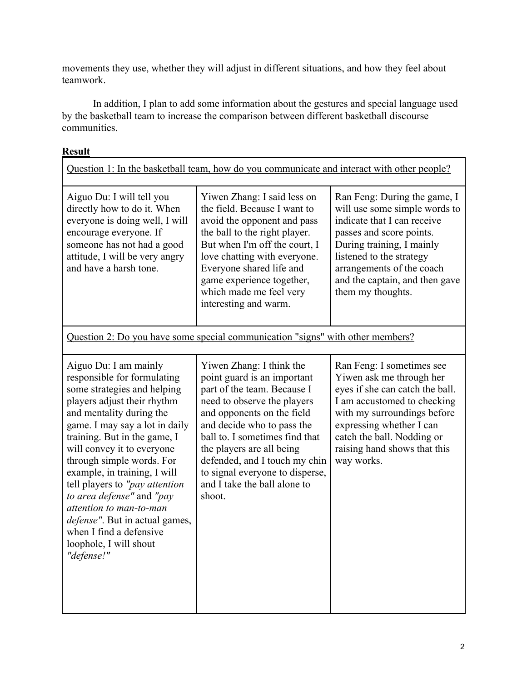movements they use, whether they will adjust in different situations, and how they feel about teamwork.

In addition, I plan to add some information about the gestures and special language used by the basketball team to increase the comparison between different basketball discourse communities.

# **Result**

| Kesuit                                                                                                                                                                                                                                                                                                                                                                                                                                                                                                      |                                                                                                                                                                                                                                                                                                                                                                |                                                                                                                                                                                                                                                                       |  |
|-------------------------------------------------------------------------------------------------------------------------------------------------------------------------------------------------------------------------------------------------------------------------------------------------------------------------------------------------------------------------------------------------------------------------------------------------------------------------------------------------------------|----------------------------------------------------------------------------------------------------------------------------------------------------------------------------------------------------------------------------------------------------------------------------------------------------------------------------------------------------------------|-----------------------------------------------------------------------------------------------------------------------------------------------------------------------------------------------------------------------------------------------------------------------|--|
| Question 1: In the basketball team, how do you communicate and interact with other people?                                                                                                                                                                                                                                                                                                                                                                                                                  |                                                                                                                                                                                                                                                                                                                                                                |                                                                                                                                                                                                                                                                       |  |
| Aiguo Du: I will tell you<br>directly how to do it. When<br>everyone is doing well, I will<br>encourage everyone. If<br>someone has not had a good<br>attitude, I will be very angry<br>and have a harsh tone.                                                                                                                                                                                                                                                                                              | Yiwen Zhang: I said less on<br>the field. Because I want to<br>avoid the opponent and pass<br>the ball to the right player.<br>But when I'm off the court, I<br>love chatting with everyone.<br>Everyone shared life and<br>game experience together,<br>which made me feel very<br>interesting and warm.                                                      | Ran Feng: During the game, I<br>will use some simple words to<br>indicate that I can receive<br>passes and score points.<br>During training, I mainly<br>listened to the strategy<br>arrangements of the coach<br>and the captain, and then gave<br>them my thoughts. |  |
| Question 2: Do you have some special communication "signs" with other members?                                                                                                                                                                                                                                                                                                                                                                                                                              |                                                                                                                                                                                                                                                                                                                                                                |                                                                                                                                                                                                                                                                       |  |
| Aiguo Du: I am mainly<br>responsible for formulating<br>some strategies and helping<br>players adjust their rhythm<br>and mentality during the<br>game. I may say a lot in daily<br>training. But in the game, I<br>will convey it to everyone<br>through simple words. For<br>example, in training, I will<br>tell players to "pay attention"<br>to area defense" and "pay<br>attention to man-to-man<br>defense". But in actual games,<br>when I find a defensive<br>loophole, I will shout<br>"defense!" | Yiwen Zhang: I think the<br>point guard is an important<br>part of the team. Because I<br>need to observe the players<br>and opponents on the field<br>and decide who to pass the<br>ball to. I sometimes find that<br>the players are all being<br>defended, and I touch my chin<br>to signal everyone to disperse,<br>and I take the ball alone to<br>shoot. | Ran Feng: I sometimes see<br>Yiwen ask me through her<br>eyes if she can catch the ball.<br>I am accustomed to checking<br>with my surroundings before<br>expressing whether I can<br>catch the ball. Nodding or<br>raising hand shows that this<br>way works.        |  |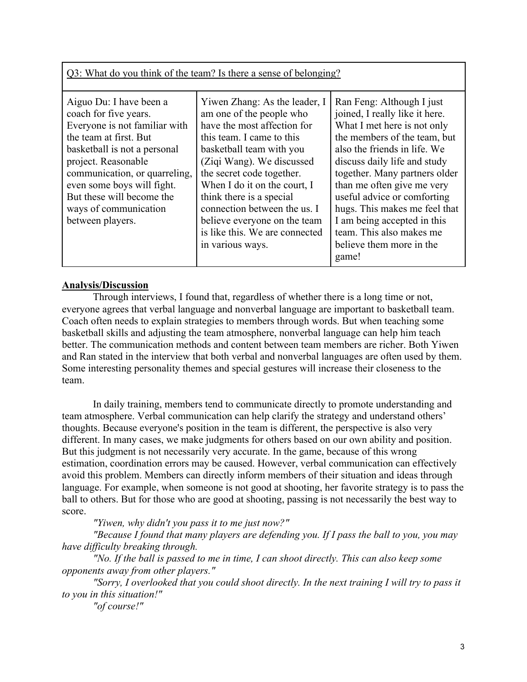## Q3: What do you think of the team? Is there a sense of belonging?

| Aiguo Du: I have been a<br>coach for five years.<br>Everyone is not familiar with<br>the team at first. But<br>basketball is not a personal<br>project. Reasonable<br>communication, or quarreling,<br>even some boys will fight.<br>But these will become the<br>ways of communication<br>between players. | Yiwen Zhang: As the leader, I<br>am one of the people who<br>have the most affection for<br>this team. I came to this<br>basketball team with you<br>(Ziqi Wang). We discussed<br>the secret code together.<br>When I do it on the court, I<br>think there is a special<br>connection between the us. I<br>believe everyone on the team<br>is like this. We are connected | Ran Feng: Although I just<br>joined, I really like it here.<br>What I met here is not only<br>the members of the team, but<br>also the friends in life. We<br>discuss daily life and study<br>together. Many partners older<br>than me often give me very<br>useful advice or comforting<br>hugs. This makes me feel that<br>I am being accepted in this<br>team. This also makes me |
|-------------------------------------------------------------------------------------------------------------------------------------------------------------------------------------------------------------------------------------------------------------------------------------------------------------|---------------------------------------------------------------------------------------------------------------------------------------------------------------------------------------------------------------------------------------------------------------------------------------------------------------------------------------------------------------------------|--------------------------------------------------------------------------------------------------------------------------------------------------------------------------------------------------------------------------------------------------------------------------------------------------------------------------------------------------------------------------------------|
|                                                                                                                                                                                                                                                                                                             | in various ways.                                                                                                                                                                                                                                                                                                                                                          | believe them more in the                                                                                                                                                                                                                                                                                                                                                             |
|                                                                                                                                                                                                                                                                                                             |                                                                                                                                                                                                                                                                                                                                                                           | game!                                                                                                                                                                                                                                                                                                                                                                                |

## **Analysis/Discussion**

Through interviews, I found that, regardless of whether there is a long time or not, everyone agrees that verbal language and nonverbal language are important to basketball team. Coach often needs to explain strategies to members through words. But when teaching some basketball skills and adjusting the team atmosphere, nonverbal language can help him teach better. The communication methods and content between team members are richer. Both Yiwen and Ran stated in the interview that both verbal and nonverbal languages are often used by them. Some interesting personality themes and special gestures will increase their closeness to the team.

In daily training, members tend to communicate directly to promote understanding and team atmosphere. Verbal communication can help clarify the strategy and understand others' thoughts. Because everyone's position in the team is different, the perspective is also very different. In many cases, we make judgments for others based on our own ability and position. But this judgment is not necessarily very accurate. In the game, because of this wrong estimation, coordination errors may be caused. However, verbal communication can effectively avoid this problem. Members can directly inform members of their situation and ideas through language. For example, when someone is not good at shooting, her favorite strategy is to pass the ball to others. But for those who are good at shooting, passing is not necessarily the best way to score.

*"Yiwen, why didn't you pass it to me just now?"*

*"Because I found that many players are defending you. If I pass the ball to you, you may have difficulty breaking through.*

*"No. If the ball is passed to me in time, I can shoot directly. This can also keep some opponents away from other players."*

*"Sorry, I overlooked that you could shoot directly. In the next training I will try to pass it to you in this situation!"*

*"of course!"*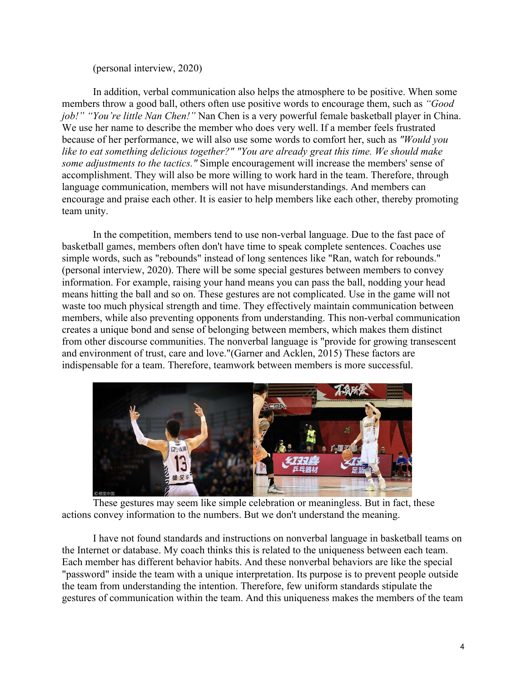## (personal interview, 2020)

In addition, verbal communication also helps the atmosphere to be positive. When some members throw a good ball, others often use positive words to encourage them, such as *"Good job!" "You're little Nan Chen!"* Nan Chen is a very powerful female basketball player in China. We use her name to describe the member who does very well. If a member feels frustrated because of her performance, we will also use some words to comfort her, such as *"Would you like to eat something delicious together?" "You are already great this time. We should make some adjustments to the tactics."* Simple encouragement will increase the members' sense of accomplishment. They will also be more willing to work hard in the team. Therefore, through language communication, members will not have misunderstandings. And members can encourage and praise each other. It is easier to help members like each other, thereby promoting team unity.

In the competition, members tend to use non-verbal language. Due to the fast pace of basketball games, members often don't have time to speak complete sentences. Coaches use simple words, such as "rebounds" instead of long sentences like "Ran, watch for rebounds." (personal interview, 2020). There will be some special gestures between members to convey information. For example, raising your hand means you can pass the ball, nodding your head means hitting the ball and so on. These gestures are not complicated. Use in the game will not waste too much physical strength and time. They effectively maintain communication between members, while also preventing opponents from understanding. This non-verbal communication creates a unique bond and sense of belonging between members, which makes them distinct from other discourse communities. The nonverbal language is "provide for growing transescent and environment of trust, care and love."(Garner and Acklen, 2015) These factors are indispensable for a team. Therefore, teamwork between members is more successful.



These gestures may seem like simple celebration or meaningless. But in fact, these actions convey information to the numbers. But we don't understand the meaning.

I have not found standards and instructions on nonverbal language in basketball teams on the Internet or database. My coach thinks this is related to the uniqueness between each team. Each member has different behavior habits. And these nonverbal behaviors are like the special "password" inside the team with a unique interpretation. Its purpose is to prevent people outside the team from understanding the intention. Therefore, few uniform standards stipulate the gestures of communication within the team. And this uniqueness makes the members of the team